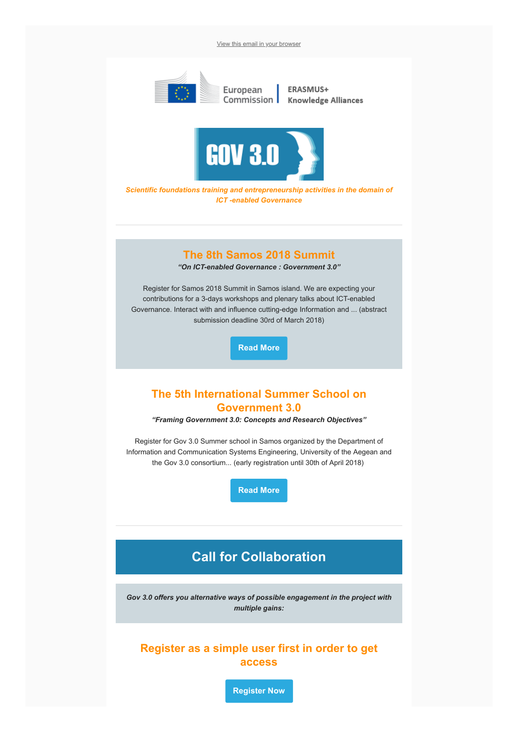[View this email in your browser](http://www.gov30.eu/wp-content/newsletter/1/Gov3.0.html)



Scientific foundations training and entrepreneurship activities in the domain of ICT -enabled Governance

### The 8th Samos 2018 Summit

"On ICT-enabled Governance : Government 3.0"

Register for Samos 2018 Summit in Samos island. We are expecting your contributions for a 3-days workshops and plenary talks about ICT-enabled Governance. Interact with and influence cutting-edge Information and ... (abstract submission deadline 30rd of March 2018)

[Read More](http://samos-summit.blogspot.gr/)

## The 5th International Summer School on Government 3.0

"Framing Government 3.0: Concepts and Research Objectives"

Register for Gov 3.0 Summer school in Samos organized by the Department of Information and Communication Systems Engineering, University of the Aegean and the Gov 3.0 consortium... (early registration until 30th of April 2018)

[Read More](https://summer-schools.aegean.gr/opengov2018)

# Call for Collaboration

Gov 3.0 offers you alternative ways of possible engagement in the project with multiple gains:

### Register as a simple user first in order to get access

[Register Now](http://www.gov30.eu/register/)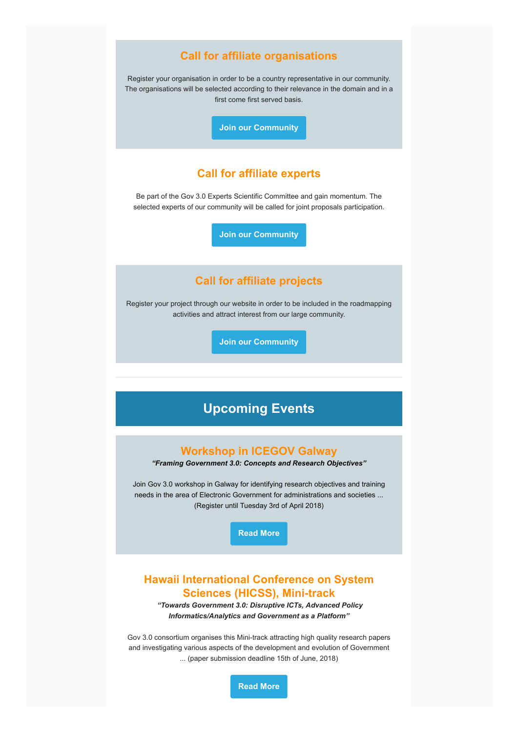#### Call for affiliate organisations

Register your organisation in order to be a country representative in our community. The organisations will be selected according to their relevance in the domain and in a first come first served basis.

[Join our Community](http://www.gov30.eu/be-an-affiliate/)

### Call for affiliate experts

Be part of the Gov 3.0 Experts Scientific Committee and gain momentum. The selected experts of our community will be called for joint proposals participation.

[Join our Community](http://www.gov30.eu/be-an-affiliate/)

## Call for affiliate projects

Register your project through our website in order to be included in the roadmapping activities and attract interest from our large community.

[Join our Community](http://www.gov30.eu/upload-project/)

# Upcoming Events

#### Workshop in ICEGOV Galway

"Framing Government 3.0: Concepts and Research Objectives"

Join Gov 3.0 workshop in Galway for identifying research objectives and training needs in the area of Electronic Government for administrations and societies ... (Register until Tuesday 3rd of April 2018)

[Read More](http://www.icegov.org/track/workshop-1/)

### Hawaii International Conference on System Sciences (HICSS), Mini-track

 "Towards Government 3.0: Disruptive ICTs, Advanced Policy Informatics/Analytics and Government as a Platform"

Gov 3.0 consortium organises this Mini-track attracting high quality research papers and investigating various aspects of the development and evolution of Government ... (paper submission deadline 15th of June, 2018)

[Read More](http://faculty.washington.edu/jscholl/hicss52/gov-3.0.php)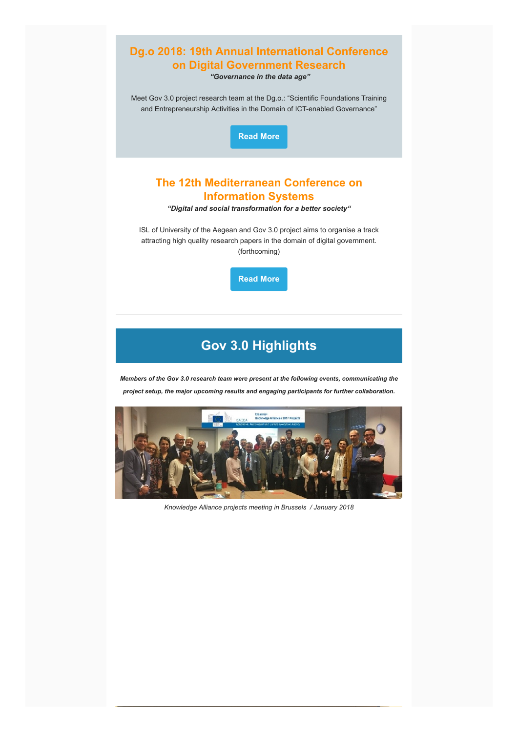

# Gov 3.0 Highlights

Members of the Gov 3.0 research team were present at the following events, communicating the project setup, the major upcoming results and engaging participants for further collaboration.



Knowledge Alliance projects meeting in Brussels / January 2018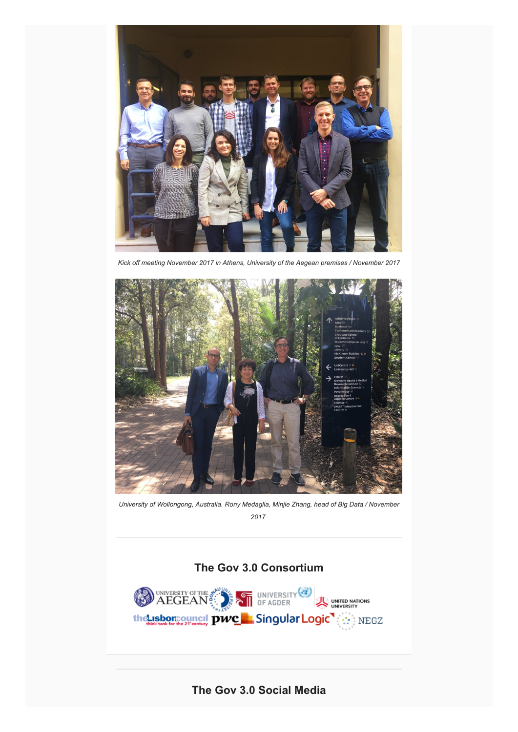

Kick off meeting November 2017 in Athens, University of the Aegean premises / November 2017



University of Wollongong, Australia. Rony Medaglia, Minjie Zhang, head of Big Data / November 2017

# The Gov 3.0 Consortium



The Gov 3.0 Social Media